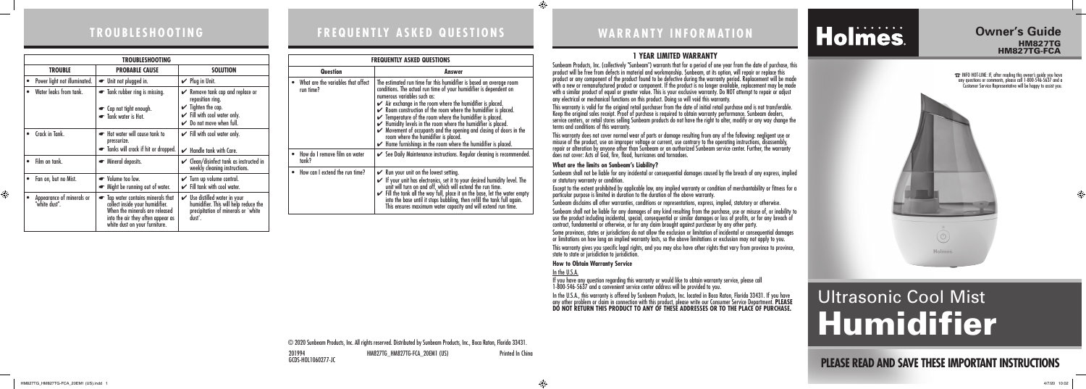# **WARRANTY INFORMATION**

## **PLEASE READ AND SAVE THESE IMPORTANT INSTRUCTIONS**

⊕

# Ultrasonic Cool Mist Humidifier

### **Owner's Guide**  HM827TG HM827TG-FCA

201994 HM827TG\_HM827TG-FCA\_20EM1 (US) Printed In China GCDS-HOL1060277-JC

### **1 YEAR LIMITED WARRANTY**

Sunbeam Products, Inc. (collectively "Sunbeam") warrants that for a period of one year from the date of purchase, this product will be free from defects in material and workmanship. Sunbeam, at its option, will repair or replace this product or any component of the product found to be defective during the warranty period. Replacement will be made with a new or remanufactured product or component. If the product is no longer available, replacement may be made with a similar product of equal or greater value. This is your exclusive warranty. Do NOT attempt to repair or adjust any electrical or mechanical functions on this product. Doing so will void this warranty.

This warranty is valid for the original retail purchaser from the date of initial retail purchase and is not transferable. Keep the original sales receipt. Proof of purchase is required to obtain warranty performance. Sunbeam dealers, service centers, or retail stores selling Sunbeam products do not have the right to alter, modify or any way change the

terms and conditions of this warranty.

This warranty does not cover normal wear of parts or damage resulting from any of the following: negligent use or misuse of the product, use on improper voltage or current, use contrary to the operating instructions, disassembly, repair or alteration by anyone other than Sunbeam or an authorized Sunbeam service center. Further, the warranty does not cover: Acts of God, fire, flood, hurricanes and tornadoes.

#### **What are the limits on Sunbeam's Liability?**

Sunbeam shall not be liable for any incidental or consequential damages caused by the breach of any express, implied

Except to the extent prohibited by applicable law, any implied warranty or condition of merchantability or fitness for a particular purpose is limited in duration to the duration of the above warranty.

Sunbeam disclaims all other warranties, conditions or representations, express, implied, statutory or otherwise.

Sunbeam shall not be liable for any damages of any kind resulting from the purchase, use or misuse of, or inability to use the product including incidental, special, consequential or similar damages or loss of profits, or for any breach of contract, fundamental or otherwise, or for any claim brought against purchaser by any other party.

or statutory warranty or condition. state to state or jurisdiction to jurisdiction.

Some provinces, states or jurisdictions do not allow the exclusion or limitation of incidental or consequential damages or limitations on how long an implied warranty lasts, so the above limitations or exclusion may not apply to you.

This warranty gives you specific legal rights, and you may also have other rights that vary from province to province,

#### **How to Obtain Warranty Service**

In the U.S.A.

If you have any question regarding this warranty or would like to obtain warranty service, please call 1-800-546-5637 and a convenient service center address will be provided to you.

In the U.S.A., this warranty is offered by Sunbeam Products, Inc. located in Boca Raton, Florida 33431. If you have any other problem or claim in connection with this product, please write our Consumer Service Department. **PLEASE DO NOT RETURN THIS PRODUCT TO ANY OF THESE ADDRESSES OR TO THE PLACE OF PURCHASE.** 

# Holmes.

© 2020 Sunbeam Products, Inc. All rights reserved. Distributed by Sunbeam Products, Inc., Boca Raton, Florida 33431.

☎ INFO HOT-LINE: If, after reading this owner's guide you have any questions or comments, please call 1-800-546-5637 and a Customer Service Representative will be happy to assist you.



# **TROUBLESHOOTING FREQUENTLY ASKED QUESTIONS**

| <b>TROUBLESHOOTING</b>                     |                                                                                                                                                                                          |                                                                                                                                                                                        |
|--------------------------------------------|------------------------------------------------------------------------------------------------------------------------------------------------------------------------------------------|----------------------------------------------------------------------------------------------------------------------------------------------------------------------------------------|
| <b>TROUBLE</b>                             | <b>PROBABLE CAUSE</b>                                                                                                                                                                    | <b>SOLUTION</b>                                                                                                                                                                        |
| Power light not illuminated.               | • Unit not plugged in.                                                                                                                                                                   | $\mathcal V$ Plug in Unit.                                                                                                                                                             |
| Water leaks from tank.                     | • Tank rubber ring is missing.<br>• Cap not tight enough.<br>Tank water is Hot.                                                                                                          | $\mathcal V$ Remove tank cap and replace or<br>reposition ring.<br>$\checkmark$ Tighten the cap.<br>$\checkmark$ Fill with cool water only.<br>$\triangleright$ Do not move when full. |
| Crack in Tank.                             | Hot water will cause tank to<br>pressurize.<br>Tanks will crack if hit or dropped.                                                                                                       | $\checkmark$ Fill with cool water only.<br>$\mathcal V$ Handle tank with Care.                                                                                                         |
| Film on tank.                              | • Mineral deposits.                                                                                                                                                                      | $\mathcal V$ Clean/disinfect tank as instructed in<br>weekly cleaning instructions.                                                                                                    |
| Fan on, but no Mist.<br>$\bullet$          | • Volume too low.<br>• Might be running out of water.                                                                                                                                    | $\checkmark$ Turn up volume control.<br>$\checkmark$ Fill tank with cool water.                                                                                                        |
| Appearance of minerals or<br>"white dust". | Tap water contains minerals that<br>$\bullet$<br>collect inside your humidifier.<br>When the minerals are released<br>into the air they often appear as<br>white dust on your furniture. | $\boldsymbol{\checkmark}$ Use distilled water in your<br>humidifier. This will help reduce the<br>precipitation of minerals or `white<br>dust'.                                        |

| <b>FREQUENTLY ASKED QUESTIONS</b>               |                                                                                                                                                                                                                                                                                                                                                                                                                                                                                                                                                                                                                                                                                                                         |  |
|-------------------------------------------------|-------------------------------------------------------------------------------------------------------------------------------------------------------------------------------------------------------------------------------------------------------------------------------------------------------------------------------------------------------------------------------------------------------------------------------------------------------------------------------------------------------------------------------------------------------------------------------------------------------------------------------------------------------------------------------------------------------------------------|--|
| <b>Question</b><br>Answer                       |                                                                                                                                                                                                                                                                                                                                                                                                                                                                                                                                                                                                                                                                                                                         |  |
| What are the variables that affect<br>run time? | The estimated run time for this humidifier is based on average room<br>conditions. The actual run time of your humidifier is dependent on<br>numerous variables such as:<br>$\blacktriangleright$ Air exchange in the room where the humidifier is placed.<br>$\swarrow$ Room construction of the room where the humidifier is placed.<br>$\checkmark$ Temperature of the room where the humidifier is placed.<br>$\blacktriangleright$ Humidity levels in the room where the humidifier is placed.<br>$\triangleright$ Movement of occupants and the opening and closing of doors in the<br>room where the humidifier is placed.<br>$\blacktriangleright$ Home furnishings in the room where the humidifier is placed. |  |
| How do I remove film on water<br>tank?          | $\checkmark$ See Daily Maintenance instructions. Regular cleaning is recommended.                                                                                                                                                                                                                                                                                                                                                                                                                                                                                                                                                                                                                                       |  |
| How can I extend the run time?                  | $\mathcal V$ Run your unit on the lowest setting.<br>If your unit has electronics, set it to your desired humidity level. The<br>unit will turn on and off, which will extend the run time.<br>Fill the tank all the way full, place it on the base, let the water empty<br>into the base until it stops bubbling, then refill the tank full again.<br>This ensures maximum water capacity and will extend run time.                                                                                                                                                                                                                                                                                                    |  |

HM827TG\_HM827TG-FCA\_20EM1 (US).indd 1 4/7/20 10:02

 $\bigoplus$